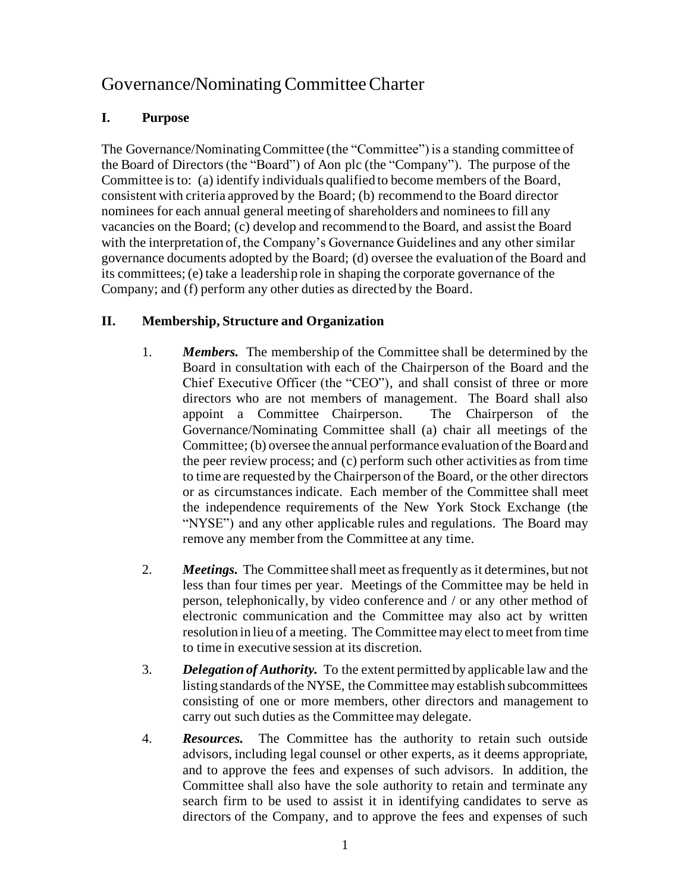## Governance/Nominating Committee Charter

## **I. Purpose**

The Governance/Nominating Committee (the "Committee") is a standing committee of the Board of Directors (the "Board") of Aon plc (the "Company"). The purpose of the Committee is to: (a) identify individuals qualified to become members of the Board, consistent with criteria approved by the Board; (b) recommend to the Board director nominees for each annual general meeting of shareholders and nominees to fill any vacancies on the Board; (c) develop and recommend to the Board, and assist the Board with the interpretation of, the Company's Governance Guidelines and any other similar governance documents adopted by the Board; (d) oversee the evaluation of the Board and its committees; (e) take a leadership role in shaping the corporate governance of the Company; and (f) perform any other duties as directed by the Board.

## **II. Membership, Structure and Organization**

- 1. *Members.* The membership of the Committee shall be determined by the Board in consultation with each of the Chairperson of the Board and the Chief Executive Officer (the "CEO"), and shall consist of three or more directors who are not members of management. The Board shall also appoint a Committee Chairperson. The Chairperson of the Governance/Nominating Committee shall (a) chair all meetings of the Committee; (b) oversee the annual performance evaluation of the Board and the peer review process; and (c) perform such other activities as from time to time are requested by the Chairperson of the Board, or the other directors or as circumstances indicate. Each member of the Committee shall meet the independence requirements of the New York Stock Exchange (the "NYSE") and any other applicable rules and regulations. The Board may remove any member from the Committee at any time.
- 2. *Meetings.* The Committee shall meet as frequently as it determines, but not less than four times per year. Meetings of the Committee may be held in person, telephonically, by video conference and / or any other method of electronic communication and the Committee may also act by written resolution in lieu of a meeting. The Committee may elect to meet from time to time in executive session at its discretion.
- 3. *Delegation of Authority.* To the extent permitted by applicable law and the listing standards of the NYSE, the Committee may establish subcommittees consisting of one or more members, other directors and management to carry out such duties as the Committee may delegate.
- 4. *Resources.* The Committee has the authority to retain such outside advisors, including legal counsel or other experts, as it deems appropriate, and to approve the fees and expenses of such advisors. In addition, the Committee shall also have the sole authority to retain and terminate any search firm to be used to assist it in identifying candidates to serve as directors of the Company, and to approve the fees and expenses of such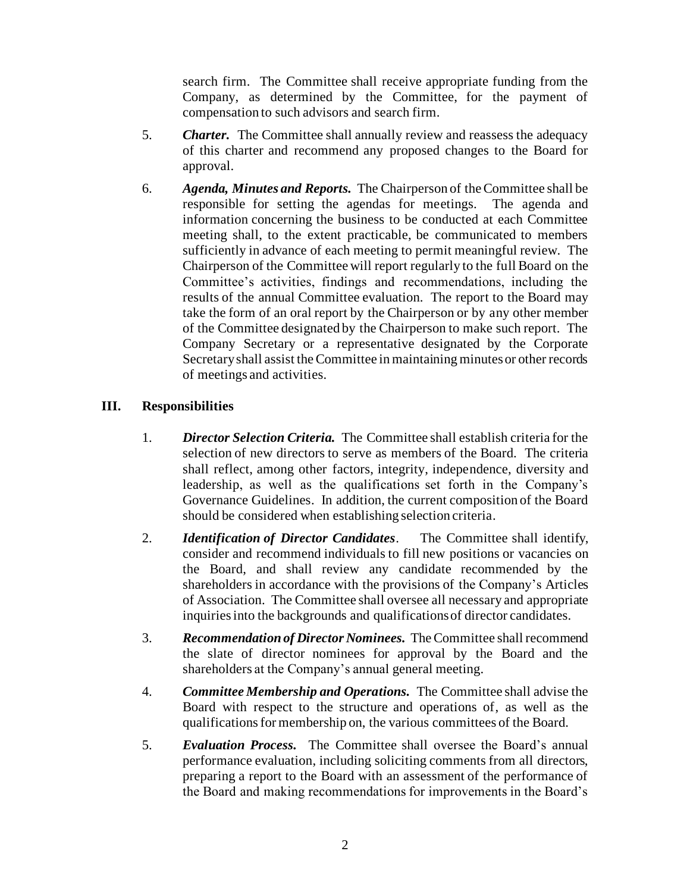search firm. The Committee shall receive appropriate funding from the Company, as determined by the Committee, for the payment of compensation to such advisors and search firm.

- 5. *Charter.* The Committee shall annually review and reassess the adequacy of this charter and recommend any proposed changes to the Board for approval.
- 6. *Agenda, Minutes and Reports.* The Chairperson of the Committee shall be responsible for setting the agendas for meetings. The agenda and information concerning the business to be conducted at each Committee meeting shall, to the extent practicable, be communicated to members sufficiently in advance of each meeting to permit meaningful review. The Chairperson of the Committee will report regularly to the full Board on the Committee's activities, findings and recommendations, including the results of the annual Committee evaluation. The report to the Board may take the form of an oral report by the Chairperson or by any other member of the Committee designated by the Chairperson to make such report. The Company Secretary or a representative designated by the Corporate Secretaryshall assist the Committee in maintaining minutes or other records of meetings and activities.

## **III. Responsibilities**

- 1. *Director Selection Criteria.* The Committee shall establish criteria for the selection of new directors to serve as members of the Board. The criteria shall reflect, among other factors, integrity, independence, diversity and leadership, as well as the qualifications set forth in the Company's Governance Guidelines. In addition, the current composition of the Board should be considered when establishing selection criteria.
- 2. *Identification of Director Candidates*. The Committee shall identify, consider and recommend individuals to fill new positions or vacancies on the Board, and shall review any candidate recommended by the shareholders in accordance with the provisions of the Company's Articles of Association. The Committee shall oversee all necessary and appropriate inquiries into the backgrounds and qualifications of director candidates.
- 3. *Recommendation of Director Nominees.* The Committee shall recommend the slate of director nominees for approval by the Board and the shareholders at the Company's annual general meeting.
- 4. *Committee Membership and Operations.* The Committee shall advise the Board with respect to the structure and operations of, as well as the qualifications for membership on, the various committees of the Board.
- 5. *Evaluation Process.* The Committee shall oversee the Board's annual performance evaluation, including soliciting comments from all directors, preparing a report to the Board with an assessment of the performance of the Board and making recommendations for improvements in the Board's